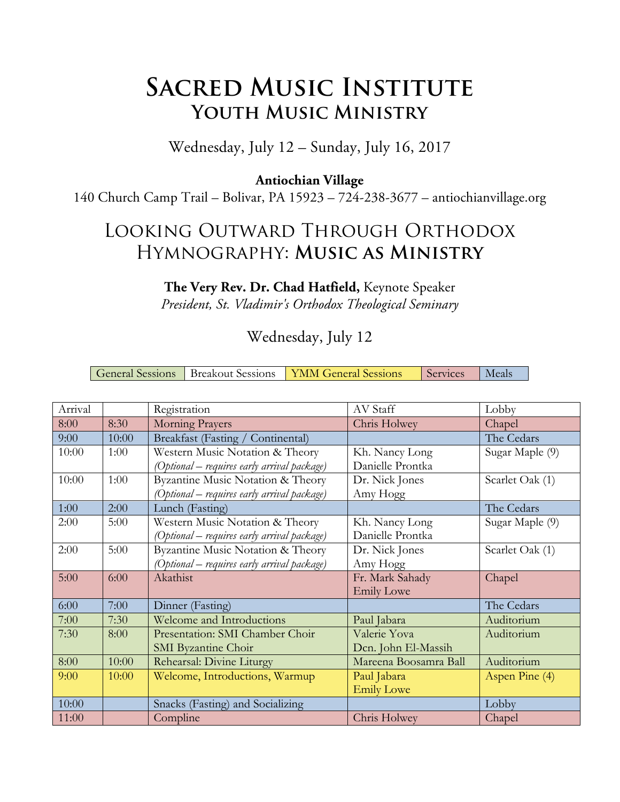# **SACRED MUSIC INSTITUTE Youth Music Ministry**

### Wednesday, July 12 – Sunday, July 16, 2017

#### **Antiochian Village**

140 Church Camp Trail – Bolivar, PA 15923 – 724-238-3677 – antiochianvillage.org

### Looking Outward Through Orthodox Hymnography: **Music as Ministry**

#### **The Very Rev. Dr. Chad Hatfield,** Keynote Speaker

*President, St. Vladimir's Orthodox Theological Seminary*

### Wednesday, July 12

| General Sessions   Breakout Sessions   YMM General Sessions |  | Services | Meals |
|-------------------------------------------------------------|--|----------|-------|
|-------------------------------------------------------------|--|----------|-------|

| Arrival |       | Registration                                | AV Staff              | Lobby           |
|---------|-------|---------------------------------------------|-----------------------|-----------------|
| 8:00    | 8:30  | Morning Prayers                             | Chris Holwey          | Chapel          |
| 9:00    | 10:00 | Breakfast (Fasting / Continental)           |                       | The Cedars      |
| 10:00   | 1:00  | Western Music Notation & Theory             | Kh. Nancy Long        | Sugar Maple (9) |
|         |       | (Optional – requires early arrival package) | Danielle Prontka      |                 |
| 10:00   | 1:00  | Byzantine Music Notation & Theory           | Dr. Nick Jones        | Scarlet Oak (1) |
|         |       | (Optional – requires early arrival package) | Amy Hogg              |                 |
| 1:00    | 2:00  | Lunch (Fasting)                             |                       | The Cedars      |
| 2:00    | 5:00  | Western Music Notation & Theory             | Kh. Nancy Long        | Sugar Maple (9) |
|         |       | (Optional – requires early arrival package) | Danielle Prontka      |                 |
| 2:00    | 5:00  | Byzantine Music Notation & Theory           | Dr. Nick Jones        | Scarlet Oak (1) |
|         |       | (Optional – requires early arrival package) | Amy Hogg              |                 |
| 5:00    | 6:00  | Akathist                                    | Fr. Mark Sahady       | Chapel          |
|         |       |                                             | <b>Emily Lowe</b>     |                 |
| 6:00    | 7:00  | Dinner (Fasting)                            |                       | The Cedars      |
| 7:00    | 7:30  | Welcome and Introductions                   | Paul Jabara           | Auditorium      |
| 7:30    | 8:00  | Presentation: SMI Chamber Choir             | Valerie Yova          | Auditorium      |
|         |       | <b>SMI</b> Byzantine Choir                  | Dcn. John El-Massih   |                 |
| 8:00    | 10:00 | Rehearsal: Divine Liturgy                   | Mareena Boosamra Ball | Auditorium      |
| 9:00    | 10:00 | Welcome, Introductions, Warmup              | Paul Jabara           | Aspen Pine (4)  |
|         |       |                                             | <b>Emily Lowe</b>     |                 |
| 10:00   |       | Snacks (Fasting) and Socializing            |                       | Lobby           |
| 11:00   |       | Compline                                    | Chris Holwey          | Chapel          |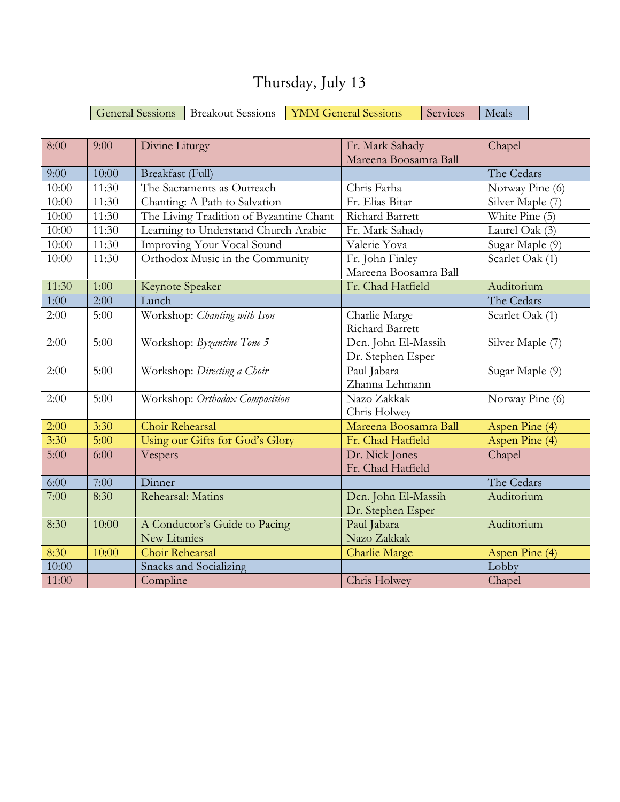| 8:00  | 9:00  | Divine Liturgy                          | Fr. Mark Sahady        | Chapel           |
|-------|-------|-----------------------------------------|------------------------|------------------|
|       |       |                                         | Mareena Boosamra Ball  |                  |
| 9:00  | 10:00 | Breakfast (Full)                        |                        | The Cedars       |
| 10:00 | 11:30 | The Sacraments as Outreach              | Chris Farha            | Norway Pine (6)  |
| 10:00 | 11:30 | Chanting: A Path to Salvation           | Fr. Elias Bitar        | Silver Maple (7) |
| 10:00 | 11:30 | The Living Tradition of Byzantine Chant | <b>Richard Barrett</b> | White Pine $(5)$ |
| 10:00 | 11:30 | Learning to Understand Church Arabic    | Fr. Mark Sahady        | Laurel Oak (3)   |
| 10:00 | 11:30 | Improving Your Vocal Sound              | Valerie Yova           | Sugar Maple (9)  |
| 10:00 | 11:30 | Orthodox Music in the Community         | Fr. John Finley        | Scarlet Oak (1)  |
|       |       |                                         | Mareena Boosamra Ball  |                  |
| 11:30 | 1:00  | Keynote Speaker                         | Fr. Chad Hatfield      | Auditorium       |
| 1:00  | 2:00  | Lunch                                   |                        | The Cedars       |
| 2:00  | 5:00  | Workshop: Chanting with Ison            | Charlie Marge          | Scarlet Oak (1)  |
|       |       |                                         | Richard Barrett        |                  |
| 2:00  | 5:00  | Workshop: Byzantine Tone 5              | Dcn. John El-Massih    | Silver Maple (7) |
|       |       |                                         | Dr. Stephen Esper      |                  |
| 2:00  | 5:00  | Workshop: Directing a Choir             | Paul Jabara            | Sugar Maple (9)  |
|       |       |                                         | Zhanna Lehmann         |                  |
| 2:00  | 5:00  | Workshop: Orthodox Composition          | Nazo Zakkak            | Norway Pine (6)  |
|       |       |                                         | Chris Holwey           |                  |
| 2:00  | 3:30  | Choir Rehearsal                         | Mareena Boosamra Ball  | Aspen Pine (4)   |
| 3:30  | 5:00  | Using our Gifts for God's Glory         | Fr. Chad Hatfield      | Aspen Pine (4)   |
| 5:00  | 6:00  | Vespers                                 | Dr. Nick Jones         | Chapel           |
|       |       |                                         | Fr. Chad Hatfield      |                  |
| 6:00  | 7:00  | Dinner                                  |                        | The Cedars       |
| 7:00  | 8:30  | Rehearsal: Matins                       | Dcn. John El-Massih    | Auditorium       |
|       |       |                                         | Dr. Stephen Esper      |                  |
| 8:30  | 10:00 | A Conductor's Guide to Pacing           | Paul Jabara            | Auditorium       |
|       |       | New Litanies                            | Nazo Zakkak            |                  |
| 8:30  | 10:00 | Choir Rehearsal                         | <b>Charlie Marge</b>   | Aspen Pine (4)   |
| 10:00 |       | Snacks and Socializing                  |                        | Lobby            |
| 11:00 |       | Compline                                | Chris Holwey           | Chapel           |

## Thursday, July 13

General Sessions Breakout Sessions YMM General Sessions Services Meals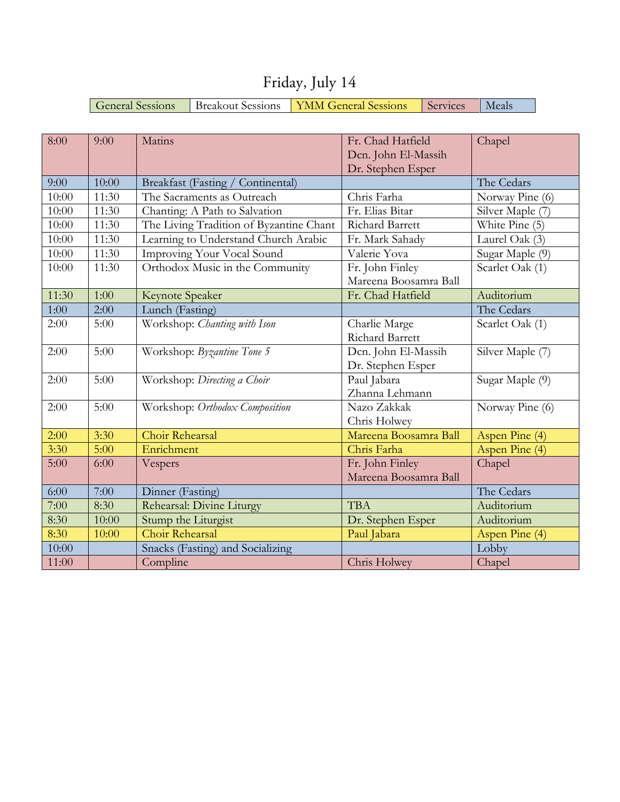| 8:00  | 9:00  | Matins                                  | Fr. Chad Hatfield      | Chapel           |
|-------|-------|-----------------------------------------|------------------------|------------------|
|       |       |                                         | Dcn. John El-Massih    |                  |
|       |       |                                         | Dr. Stephen Esper      |                  |
| 9:00  | 10:00 | Breakfast (Fasting / Continental)       |                        | The Cedars       |
| 10:00 | 11:30 | The Sacraments as Outreach              | Chris Farha            | Norway Pine (6)  |
| 10:00 | 11:30 | Chanting: A Path to Salvation           | Fr. Elias Bitar        | Silver Maple (7) |
| 10:00 | 11:30 | The Living Tradition of Byzantine Chant | Richard Barrett        | White Pine (5)   |
| 10:00 | 11:30 | Learning to Understand Church Arabic    | Fr. Mark Sahady        | Laurel Oak (3)   |
| 10:00 | 11:30 | Improving Your Vocal Sound              | Valerie Yova           | Sugar Maple (9)  |
| 10:00 | 11:30 | Orthodox Music in the Community         | Fr. John Finley        | Scarlet Oak (1)  |
|       |       |                                         | Mareena Boosamra Ball  |                  |
| 11:30 | 1:00  | Keynote Speaker                         | Fr. Chad Hatfield      | Auditorium       |
| 1:00  | 2:00  | Lunch (Fasting)                         |                        | The Cedars       |
| 2:00  | 5:00  | Workshop: Chanting with Ison            | Charlie Marge          | Scarlet Oak (1)  |
|       |       |                                         | <b>Richard Barrett</b> |                  |
| 2:00  | 5:00  | Workshop: Byzantine Tone 5              | Dcn. John El-Massih    | Silver Maple (7) |
|       |       |                                         | Dr. Stephen Esper      |                  |
| 2:00  | 5:00  | Workshop: Directing a Choir             | Paul Jabara            | Sugar Maple (9)  |
|       |       |                                         | Zhanna Lehmann         |                  |
| 2:00  | 5:00  | Workshop: Orthodox Composition          | Nazo Zakkak            | Norway Pine (6)  |
|       |       |                                         | Chris Holwey           |                  |
| 2:00  | 3:30  | Choir Rehearsal                         | Mareena Boosamra Ball  | Aspen Pine (4)   |
| 3:30  | 5:00  | Enrichment                              | Chris Farha            | Aspen Pine (4)   |
| 5:00  | 6:00  | Vespers                                 | Fr. John Finley        | Chapel           |
|       |       |                                         | Mareena Boosamra Ball  |                  |
| 6:00  | 7:00  | Dinner (Fasting)                        |                        | The Cedars       |
| 7:00  | 8:30  | Rehearsal: Divine Liturgy               | <b>TBA</b>             | Auditorium       |
| 8:30  | 10:00 | Stump the Liturgist                     | Dr. Stephen Esper      | Auditorium       |
| 8:30  | 10:00 | Choir Rehearsal                         | Paul Jabara            | Aspen Pine (4)   |
| 10:00 |       | Snacks (Fasting) and Socializing        |                        | Lobby            |
| 11:00 |       | Compline                                | Chris Holwey           | Chapel           |

Friday, July 14

General Sessions Breakout Sessions YMM General Sessions Services Meals